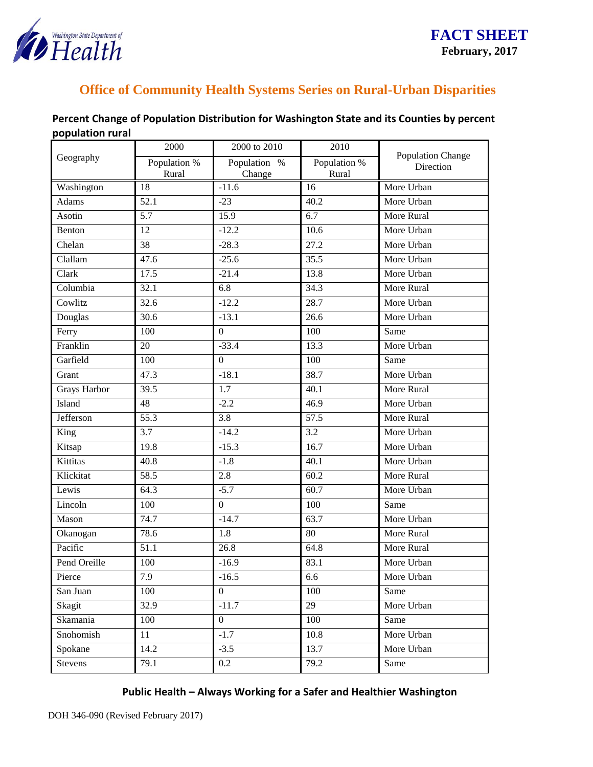

## **Office of Community Health Systems Series on Rural-Urban Disparities**

| Geography           | 2000                  | 2000 to 2010           | 2010                  | Population Change<br>Direction |
|---------------------|-----------------------|------------------------|-----------------------|--------------------------------|
|                     | Population %<br>Rural | Population %<br>Change | Population %<br>Rural |                                |
| Washington          | 18                    | $-11.6$                | 16                    | More Urban                     |
| <b>Adams</b>        | $\overline{52.1}$     | $-23$                  | 40.2                  | More Urban                     |
| Asotin              | 5.7                   | 15.9                   | 6.7                   | More Rural                     |
| Benton              | $\overline{12}$       | $-12.2$                | 10.6                  | More Urban                     |
| Chelan              | 38                    | $-28.3$                | 27.2                  | More Urban                     |
| Clallam             | 47.6                  | $-25.6$                | $\overline{35.5}$     | More Urban                     |
| Clark               | 17.5                  | $-21.4$                | 13.8                  | More Urban                     |
| Columbia            | 32.1                  | 6.8                    | 34.3                  | More Rural                     |
| Cowlitz             | 32.6                  | $-12.2$                | 28.7                  | More Urban                     |
| Douglas             | 30.6                  | $-13.1$                | 26.6                  | More Urban                     |
| Ferry               | 100                   | $\boldsymbol{0}$       | 100                   | Same                           |
| Franklin            | 20                    | $-33.4$                | 13.3                  | More Urban                     |
| Garfield            | 100                   | $\boldsymbol{0}$       | 100                   | Same                           |
| Grant               | 47.3                  | $-18.1$                | 38.7                  | More Urban                     |
| <b>Grays Harbor</b> | 39.5                  | 1.7                    | 40.1                  | More Rural                     |
| Island              | 48                    | $-2.2$                 | 46.9                  | More Urban                     |
| <b>Jefferson</b>    | $\overline{55.3}$     | 3.8                    | 57.5                  | More Rural                     |
| King                | 3.7                   | $-14.2$                | 3.2                   | More Urban                     |
| Kitsap              | 19.8                  | $-15.3$                | 16.7                  | More Urban                     |
| Kittitas            | 40.8                  | $-1.8$                 | 40.1                  | More Urban                     |
| Klickitat           | 58.5                  | 2.8                    | 60.2                  | More Rural                     |
| Lewis               | 64.3                  | $-5.7$                 | 60.7                  | More Urban                     |
| Lincoln             | 100                   | $\overline{0}$         | 100                   | Same                           |
| Mason               | 74.7                  | $-14.7$                | 63.7                  | More Urban                     |
| Okanogan            | 78.6                  | 1.8                    | 80                    | More Rural                     |
| Pacific             | 51.1                  | 26.8                   | 64.8                  | More Rural                     |
| Pend Oreille        | 100                   | $-16.9$                | 83.1                  | More Urban                     |
| Pierce              | 7.9                   | $-16.5$                | 6.6                   | More Urban                     |
| San Juan            | 100                   | $\overline{0}$         | 100                   | Same                           |
| Skagit              | 32.9                  | $-11.7$                | 29                    | More Urban                     |
| Skamania            | 100                   | $\overline{0}$         | 100                   | Same                           |
| Snohomish           | 11                    | $-1.7$                 | 10.8                  | More Urban                     |
| Spokane             | 14.2                  | $-3.5$                 | 13.7                  | More Urban                     |
| Stevens             | 79.1                  | 0.2                    | 79.2                  | Same                           |

## **Percent Change of Population Distribution for Washington State and its Counties by percent population rural**

**Public Health – Always Working for a Safer and Healthier Washington**